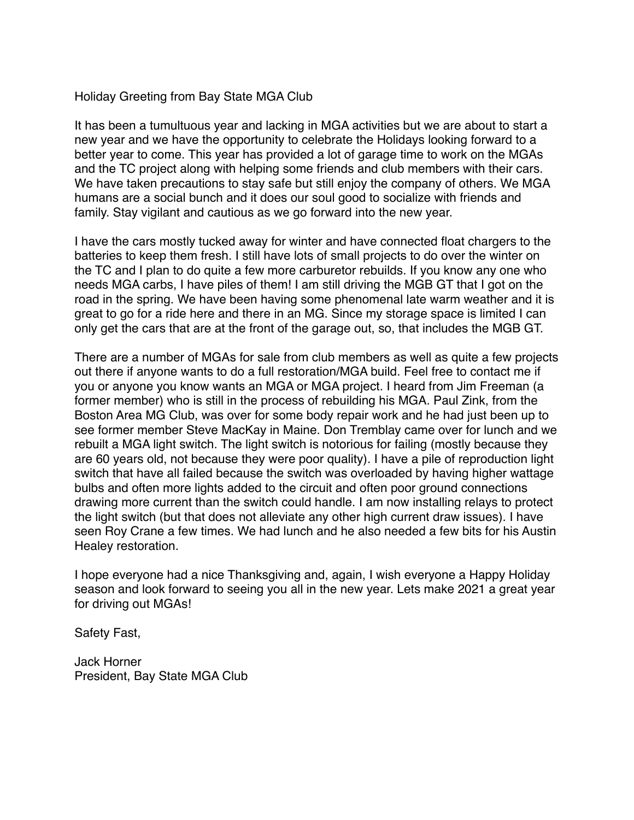## Holiday Greeting from Bay State MGA Club

It has been a tumultuous year and lacking in MGA activities but we are about to start a new year and we have the opportunity to celebrate the Holidays looking forward to a better year to come. This year has provided a lot of garage time to work on the MGAs and the TC project along with helping some friends and club members with their cars. We have taken precautions to stay safe but still enjoy the company of others. We MGA humans are a social bunch and it does our soul good to socialize with friends and family. Stay vigilant and cautious as we go forward into the new year.

I have the cars mostly tucked away for winter and have connected float chargers to the batteries to keep them fresh. I still have lots of small projects to do over the winter on the TC and I plan to do quite a few more carburetor rebuilds. If you know any one who needs MGA carbs, I have piles of them! I am still driving the MGB GT that I got on the road in the spring. We have been having some phenomenal late warm weather and it is great to go for a ride here and there in an MG. Since my storage space is limited I can only get the cars that are at the front of the garage out, so, that includes the MGB GT.

There are a number of MGAs for sale from club members as well as quite a few projects out there if anyone wants to do a full restoration/MGA build. Feel free to contact me if you or anyone you know wants an MGA or MGA project. I heard from Jim Freeman (a former member) who is still in the process of rebuilding his MGA. Paul Zink, from the Boston Area MG Club, was over for some body repair work and he had just been up to see former member Steve MacKay in Maine. Don Tremblay came over for lunch and we rebuilt a MGA light switch. The light switch is notorious for failing (mostly because they are 60 years old, not because they were poor quality). I have a pile of reproduction light switch that have all failed because the switch was overloaded by having higher wattage bulbs and often more lights added to the circuit and often poor ground connections drawing more current than the switch could handle. I am now installing relays to protect the light switch (but that does not alleviate any other high current draw issues). I have seen Roy Crane a few times. We had lunch and he also needed a few bits for his Austin Healey restoration.

I hope everyone had a nice Thanksgiving and, again, I wish everyone a Happy Holiday season and look forward to seeing you all in the new year. Lets make 2021 a great year for driving out MGAs!

Safety Fast,

Jack Horner President, Bay State MGA Club